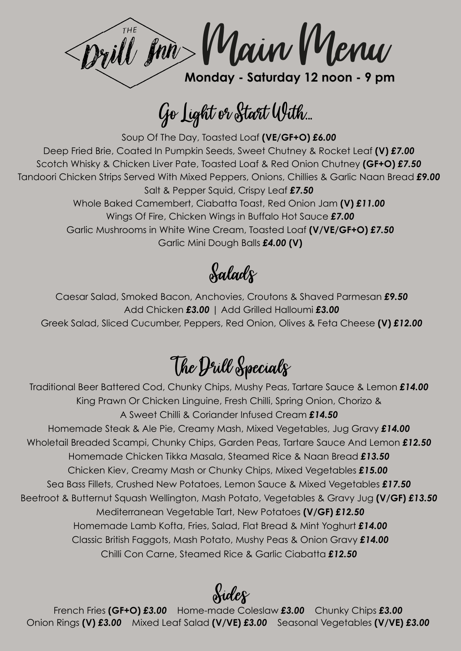Will Jon Main Menu **Monday - Saturday 12 noon - 9 pm**

Go Light or Start With...

Soup Of The Day, Toasted Loaf **(VE/GF+O)** *£6.00* Deep Fried Brie, Coated In Pumpkin Seeds, Sweet Chutney & Rocket Leaf **(V)** *£7.00*  Scotch Whisky & Chicken Liver Pate, Toasted Loaf & Red Onion Chutney **(GF+O)** *£7.50* Tandoori Chicken Strips Served With Mixed Peppers, Onions, Chillies & Garlic Naan Bread *£9.00* Salt & Pepper Squid, Crispy Leaf *£7.50* Whole Baked Camembert, Ciabatta Toast, Red Onion Jam **(V)** *£11.00* Wings Of Fire, Chicken Wings in Buffalo Hot Sauce *£7.00* Garlic Mushrooms in White Wine Cream, Toasted Loaf **(V/VE/GF+O)** *£7.50* Garlic Mini Dough Balls *£4.00* **(V)**

Salads

Caesar Salad, Smoked Bacon, Anchovies, Croutons & Shaved Parmesan *£9.50* Add Chicken *£3.00* | Add Grilled Halloumi *£3.00* Greek Salad, Sliced Cucumber, Peppers, Red Onion, Olives & Feta Cheese **(V)** *£12.00*

### The Dull Specials

Traditional Beer Battered Cod, Chunky Chips, Mushy Peas, Tartare Sauce & Lemon *£14.00* King Prawn Or Chicken Linguine, Fresh Chilli, Spring Onion, Chorizo & A Sweet Chilli & Coriander Infused Cream *£14.50* Homemade Steak & Ale Pie, Creamy Mash, Mixed Vegetables, Jug Gravy *£14.00*  Wholetail Breaded Scampi, Chunky Chips, Garden Peas, Tartare Sauce And Lemon *£12.50*  Homemade Chicken Tikka Masala, Steamed Rice & Naan Bread *£13.50*  Chicken Kiev, Creamy Mash or Chunky Chips, Mixed Vegetables *£15.00*  Sea Bass Fillets, Crushed New Potatoes, Lemon Sauce & Mixed Vegetables *£17.50*  Beetroot & Butternut Squash Wellington, Mash Potato, Vegetables & Gravy Jug **(V/GF)** *£13.50*  Mediterranean Vegetable Tart, New Potatoes **(V/GF)** *£12.50* Homemade Lamb Kofta, Fries, Salad, Flat Bread & Mint Yoghurt *£14.00* Classic British Faggots, Mash Potato, Mushy Peas & Onion Gravy *£14.00* Chilli Con Carne, Steamed Rice & Garlic Ciabatta *£12.50*

Sides

French Fries **(GF+O)** *£3.00* Home-made Coleslaw *£3.00* Chunky Chips *£3.00* Onion Rings **(V)** *£3.00* Mixed Leaf Salad **(V/VE)** *£3.00* Seasonal Vegetables **(V/VE)** *£3.00*